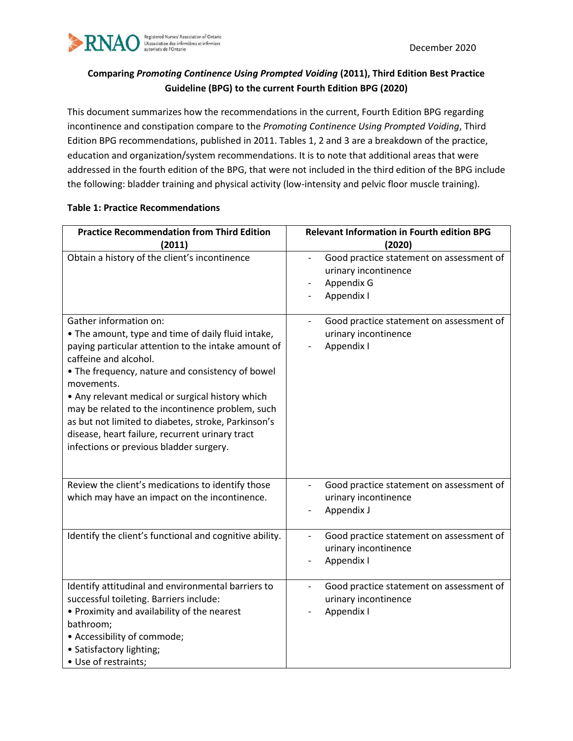

# **Comparing** *Promoting Continence Using Prompted Voiding* **(2011), Third Edition Best Practice Guideline (BPG) to the current Fourth Edition BPG (2020)**

This document summarizes how the recommendations in the current, Fourth Edition BPG regarding incontinence and constipation compare to the *Promoting Continence Using Prompted Voiding*, Third Edition BPG recommendations, published in 2011. Tables 1, 2 and 3 are a breakdown of the practice, education and organization/system recommendations. It is to note that additional areas that were addressed in the fourth edition of the BPG, that were not included in the third edition of the BPG include the following: bladder training and physical activity (low-intensity and pelvic floor muscle training).

| <b>Practice Recommendation from Third Edition</b><br>(2011)                                                                                                                                                                                                                                                                                                                                                                                                                                 | <b>Relevant Information in Fourth edition BPG</b><br>(2020)                                                |
|---------------------------------------------------------------------------------------------------------------------------------------------------------------------------------------------------------------------------------------------------------------------------------------------------------------------------------------------------------------------------------------------------------------------------------------------------------------------------------------------|------------------------------------------------------------------------------------------------------------|
| Obtain a history of the client's incontinence                                                                                                                                                                                                                                                                                                                                                                                                                                               | Good practice statement on assessment of<br>urinary incontinence<br>Appendix G<br>Appendix I               |
| Gather information on:<br>• The amount, type and time of daily fluid intake,<br>paying particular attention to the intake amount of<br>caffeine and alcohol.<br>• The frequency, nature and consistency of bowel<br>movements.<br>• Any relevant medical or surgical history which<br>may be related to the incontinence problem, such<br>as but not limited to diabetes, stroke, Parkinson's<br>disease, heart failure, recurrent urinary tract<br>infections or previous bladder surgery. | Good practice statement on assessment of<br>$\overline{\phantom{a}}$<br>urinary incontinence<br>Appendix I |
| Review the client's medications to identify those<br>which may have an impact on the incontinence.                                                                                                                                                                                                                                                                                                                                                                                          | Good practice statement on assessment of<br>urinary incontinence<br>Appendix J                             |
| Identify the client's functional and cognitive ability.                                                                                                                                                                                                                                                                                                                                                                                                                                     | Good practice statement on assessment of<br>$\overline{\phantom{a}}$<br>urinary incontinence<br>Appendix I |
| Identify attitudinal and environmental barriers to<br>successful toileting. Barriers include:<br>• Proximity and availability of the nearest<br>bathroom;<br>• Accessibility of commode;<br>• Satisfactory lighting;<br>• Use of restraints;                                                                                                                                                                                                                                                | Good practice statement on assessment of<br>urinary incontinence<br>Appendix I                             |

### **Table 1: Practice Recommendations**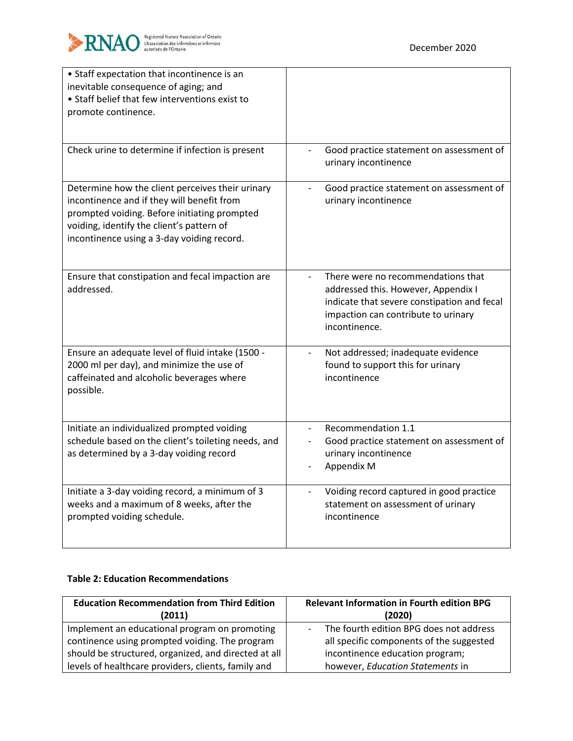

| • Staff expectation that incontinence is an<br>inevitable consequence of aging; and<br>• Staff belief that few interventions exist to<br>promote continence.                                                                              |                                                                                                                                                                                  |
|-------------------------------------------------------------------------------------------------------------------------------------------------------------------------------------------------------------------------------------------|----------------------------------------------------------------------------------------------------------------------------------------------------------------------------------|
| Check urine to determine if infection is present                                                                                                                                                                                          | Good practice statement on assessment of<br>urinary incontinence                                                                                                                 |
| Determine how the client perceives their urinary<br>incontinence and if they will benefit from<br>prompted voiding. Before initiating prompted<br>voiding, identify the client's pattern of<br>incontinence using a 3-day voiding record. | Good practice statement on assessment of<br>urinary incontinence                                                                                                                 |
| Ensure that constipation and fecal impaction are<br>addressed.                                                                                                                                                                            | There were no recommendations that<br>addressed this. However, Appendix I<br>indicate that severe constipation and fecal<br>impaction can contribute to urinary<br>incontinence. |
| Ensure an adequate level of fluid intake (1500 -<br>2000 ml per day), and minimize the use of<br>caffeinated and alcoholic beverages where<br>possible.                                                                                   | Not addressed; inadequate evidence<br>$\overline{\phantom{a}}$<br>found to support this for urinary<br>incontinence                                                              |
| Initiate an individualized prompted voiding<br>schedule based on the client's toileting needs, and<br>as determined by a 3-day voiding record                                                                                             | Recommendation 1.1<br>$\blacksquare$<br>Good practice statement on assessment of<br>urinary incontinence<br>Appendix M                                                           |
| Initiate a 3-day voiding record, a minimum of 3<br>weeks and a maximum of 8 weeks, after the<br>prompted voiding schedule.                                                                                                                | Voiding record captured in good practice<br>$\overline{\phantom{a}}$<br>statement on assessment of urinary<br>incontinence                                                       |

#### **Table 2: Education Recommendations**

| <b>Education Recommendation from Third Edition</b>   | <b>Relevant Information in Fourth edition BPG</b> |
|------------------------------------------------------|---------------------------------------------------|
| (2011)                                               | (2020)                                            |
| Implement an educational program on promoting        | - The fourth edition BPG does not address         |
| continence using prompted voiding. The program       | all specific components of the suggested          |
| should be structured, organized, and directed at all | incontinence education program;                   |
| levels of healthcare providers, clients, family and  | however, Education Statements in                  |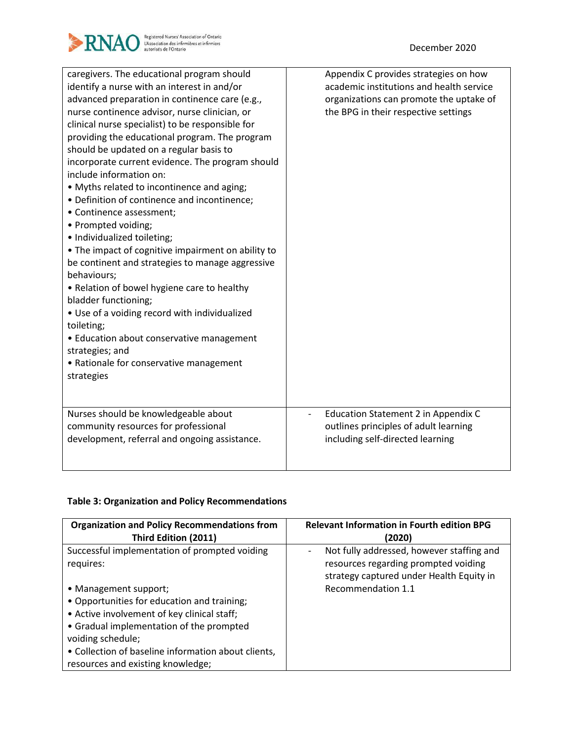

| caregivers. The educational program should<br>identify a nurse with an interest in and/or | Appendix C provides strategies on how<br>academic institutions and health service |
|-------------------------------------------------------------------------------------------|-----------------------------------------------------------------------------------|
| advanced preparation in continence care (e.g.,                                            | organizations can promote the uptake of                                           |
| nurse continence advisor, nurse clinician, or                                             | the BPG in their respective settings                                              |
| clinical nurse specialist) to be responsible for                                          |                                                                                   |
| providing the educational program. The program                                            |                                                                                   |
| should be updated on a regular basis to                                                   |                                                                                   |
| incorporate current evidence. The program should                                          |                                                                                   |
| include information on:                                                                   |                                                                                   |
| • Myths related to incontinence and aging;                                                |                                                                                   |
| • Definition of continence and incontinence;                                              |                                                                                   |
| • Continence assessment;                                                                  |                                                                                   |
| • Prompted voiding;                                                                       |                                                                                   |
| · Individualized toileting;                                                               |                                                                                   |
| • The impact of cognitive impairment on ability to                                        |                                                                                   |
| be continent and strategies to manage aggressive                                          |                                                                                   |
| behaviours;                                                                               |                                                                                   |
| • Relation of bowel hygiene care to healthy                                               |                                                                                   |
| bladder functioning;                                                                      |                                                                                   |
| • Use of a voiding record with individualized                                             |                                                                                   |
| toileting;                                                                                |                                                                                   |
| • Education about conservative management                                                 |                                                                                   |
| strategies; and                                                                           |                                                                                   |
| • Rationale for conservative management                                                   |                                                                                   |
| strategies                                                                                |                                                                                   |
|                                                                                           |                                                                                   |
|                                                                                           |                                                                                   |
| Nurses should be knowledgeable about                                                      | Education Statement 2 in Appendix C                                               |
| community resources for professional                                                      | outlines principles of adult learning                                             |
| development, referral and ongoing assistance.                                             | including self-directed learning                                                  |
|                                                                                           |                                                                                   |
|                                                                                           |                                                                                   |

# **Table 3: Organization and Policy Recommendations**

| <b>Organization and Policy Recommendations from</b><br>Third Edition (2011)                                                                                                                                                                                                      | <b>Relevant Information in Fourth edition BPG</b><br>(2020)                                                                   |
|----------------------------------------------------------------------------------------------------------------------------------------------------------------------------------------------------------------------------------------------------------------------------------|-------------------------------------------------------------------------------------------------------------------------------|
| Successful implementation of prompted voiding<br>requires:                                                                                                                                                                                                                       | Not fully addressed, however staffing and<br>resources regarding prompted voiding<br>strategy captured under Health Equity in |
| • Management support;<br>• Opportunities for education and training;<br>• Active involvement of key clinical staff;<br>• Gradual implementation of the prompted<br>voiding schedule;<br>• Collection of baseline information about clients,<br>resources and existing knowledge; | Recommendation 1.1                                                                                                            |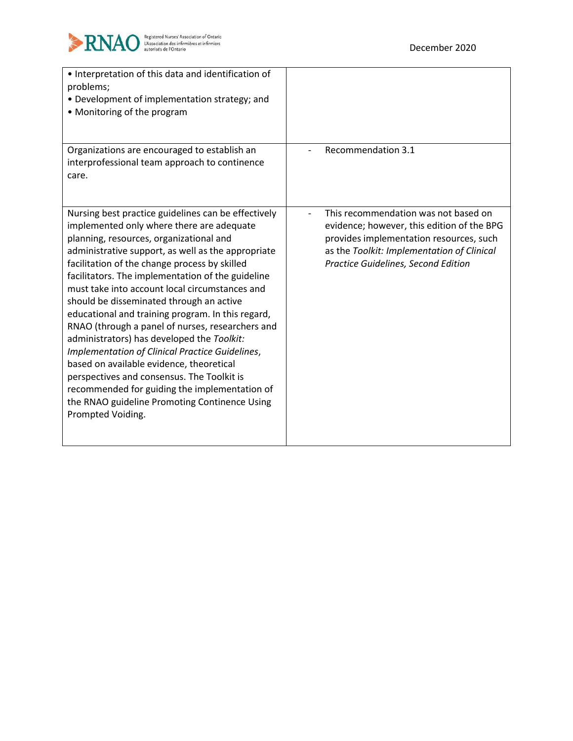

| • Interpretation of this data and identification of<br>problems;<br>• Development of implementation strategy; and<br>• Monitoring of the program                                                                                                                                                                                                                                                                                                                                                                                                                                                                                                                                                                                                                                                                                 |                                                                                                                                                                                                                    |
|----------------------------------------------------------------------------------------------------------------------------------------------------------------------------------------------------------------------------------------------------------------------------------------------------------------------------------------------------------------------------------------------------------------------------------------------------------------------------------------------------------------------------------------------------------------------------------------------------------------------------------------------------------------------------------------------------------------------------------------------------------------------------------------------------------------------------------|--------------------------------------------------------------------------------------------------------------------------------------------------------------------------------------------------------------------|
| Organizations are encouraged to establish an<br>interprofessional team approach to continence<br>care.                                                                                                                                                                                                                                                                                                                                                                                                                                                                                                                                                                                                                                                                                                                           | Recommendation 3.1                                                                                                                                                                                                 |
| Nursing best practice guidelines can be effectively<br>implemented only where there are adequate<br>planning, resources, organizational and<br>administrative support, as well as the appropriate<br>facilitation of the change process by skilled<br>facilitators. The implementation of the guideline<br>must take into account local circumstances and<br>should be disseminated through an active<br>educational and training program. In this regard,<br>RNAO (through a panel of nurses, researchers and<br>administrators) has developed the Toolkit:<br>Implementation of Clinical Practice Guidelines,<br>based on available evidence, theoretical<br>perspectives and consensus. The Toolkit is<br>recommended for guiding the implementation of<br>the RNAO guideline Promoting Continence Using<br>Prompted Voiding. | This recommendation was not based on<br>evidence; however, this edition of the BPG<br>provides implementation resources, such<br>as the Toolkit: Implementation of Clinical<br>Practice Guidelines, Second Edition |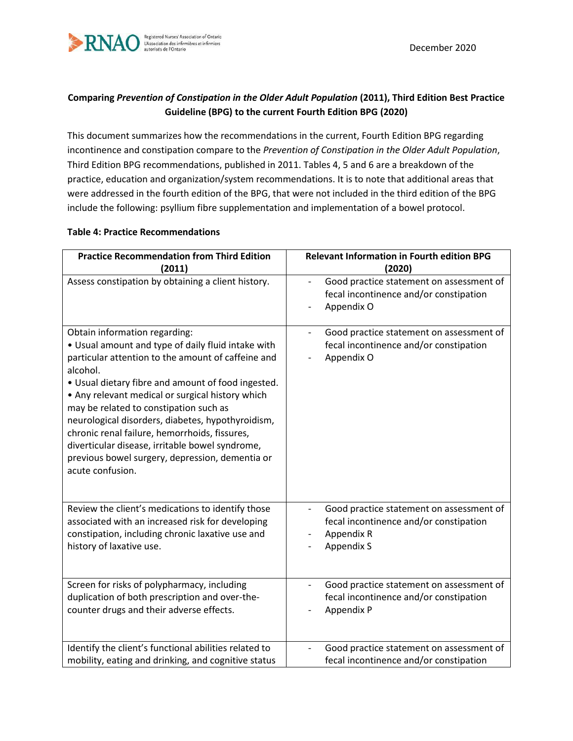

# **Comparing** *Prevention of Constipation in the Older Adult Population* **(2011), Third Edition Best Practice Guideline (BPG) to the current Fourth Edition BPG (2020)**

This document summarizes how the recommendations in the current, Fourth Edition BPG regarding incontinence and constipation compare to the *Prevention of Constipation in the Older Adult Population*, Third Edition BPG recommendations, published in 2011. Tables 4, 5 and 6 are a breakdown of the practice, education and organization/system recommendations. It is to note that additional areas that were addressed in the fourth edition of the BPG, that were not included in the third edition of the BPG include the following: psyllium fibre supplementation and implementation of a bowel protocol.

#### **Table 4: Practice Recommendations**

| <b>Practice Recommendation from Third Edition</b>                                                                                                                                                                                                                                                                                                                                                                                                                                                                                         | <b>Relevant Information in Fourth edition BPG</b>                                                |
|-------------------------------------------------------------------------------------------------------------------------------------------------------------------------------------------------------------------------------------------------------------------------------------------------------------------------------------------------------------------------------------------------------------------------------------------------------------------------------------------------------------------------------------------|--------------------------------------------------------------------------------------------------|
| (2011)                                                                                                                                                                                                                                                                                                                                                                                                                                                                                                                                    | (2020)                                                                                           |
| Assess constipation by obtaining a client history.                                                                                                                                                                                                                                                                                                                                                                                                                                                                                        | Good practice statement on assessment of<br>fecal incontinence and/or constipation<br>Appendix O |
| Obtain information regarding:<br>• Usual amount and type of daily fluid intake with<br>particular attention to the amount of caffeine and<br>alcohol.<br>• Usual dietary fibre and amount of food ingested.<br>• Any relevant medical or surgical history which<br>may be related to constipation such as<br>neurological disorders, diabetes, hypothyroidism,<br>chronic renal failure, hemorrhoids, fissures,<br>diverticular disease, irritable bowel syndrome,<br>previous bowel surgery, depression, dementia or<br>acute confusion. | Good practice statement on assessment of<br>fecal incontinence and/or constipation<br>Appendix O |
| Review the client's medications to identify those                                                                                                                                                                                                                                                                                                                                                                                                                                                                                         | Good practice statement on assessment of                                                         |
| associated with an increased risk for developing                                                                                                                                                                                                                                                                                                                                                                                                                                                                                          | fecal incontinence and/or constipation                                                           |
| constipation, including chronic laxative use and                                                                                                                                                                                                                                                                                                                                                                                                                                                                                          | Appendix R                                                                                       |
| history of laxative use.                                                                                                                                                                                                                                                                                                                                                                                                                                                                                                                  | <b>Appendix S</b>                                                                                |
| Screen for risks of polypharmacy, including                                                                                                                                                                                                                                                                                                                                                                                                                                                                                               | Good practice statement on assessment of                                                         |
| duplication of both prescription and over-the-                                                                                                                                                                                                                                                                                                                                                                                                                                                                                            | fecal incontinence and/or constipation                                                           |
| counter drugs and their adverse effects.                                                                                                                                                                                                                                                                                                                                                                                                                                                                                                  | Appendix P                                                                                       |
| Identify the client's functional abilities related to                                                                                                                                                                                                                                                                                                                                                                                                                                                                                     | Good practice statement on assessment of                                                         |
| mobility, eating and drinking, and cognitive status                                                                                                                                                                                                                                                                                                                                                                                                                                                                                       | fecal incontinence and/or constipation                                                           |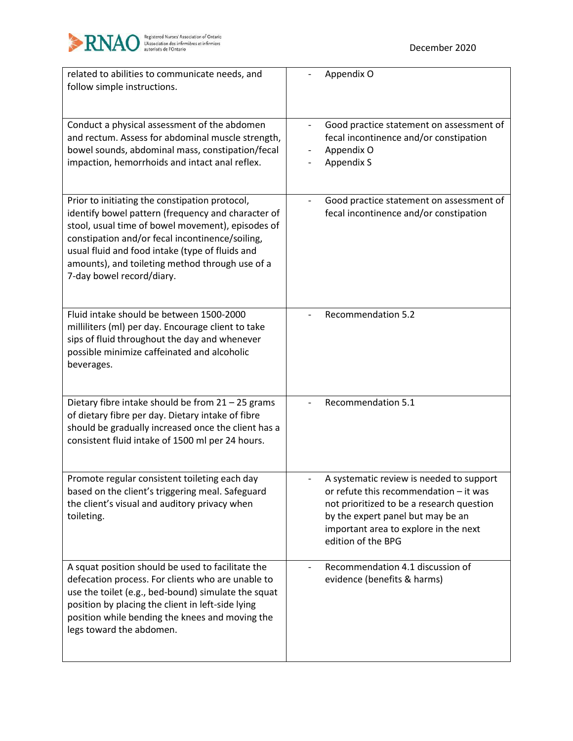

| related to abilities to communicate needs, and<br>follow simple instructions.                                                                                                                                                                                                                                                                   | Appendix O                                                                                                                                                                                                                          |
|-------------------------------------------------------------------------------------------------------------------------------------------------------------------------------------------------------------------------------------------------------------------------------------------------------------------------------------------------|-------------------------------------------------------------------------------------------------------------------------------------------------------------------------------------------------------------------------------------|
| Conduct a physical assessment of the abdomen<br>and rectum. Assess for abdominal muscle strength,<br>bowel sounds, abdominal mass, constipation/fecal<br>impaction, hemorrhoids and intact anal reflex.                                                                                                                                         | Good practice statement on assessment of<br>$\overline{\phantom{a}}$<br>fecal incontinence and/or constipation<br>Appendix O<br><b>Appendix S</b>                                                                                   |
| Prior to initiating the constipation protocol,<br>identify bowel pattern (frequency and character of<br>stool, usual time of bowel movement), episodes of<br>constipation and/or fecal incontinence/soiling,<br>usual fluid and food intake (type of fluids and<br>amounts), and toileting method through use of a<br>7-day bowel record/diary. | Good practice statement on assessment of<br>fecal incontinence and/or constipation                                                                                                                                                  |
| Fluid intake should be between 1500-2000<br>milliliters (ml) per day. Encourage client to take<br>sips of fluid throughout the day and whenever<br>possible minimize caffeinated and alcoholic<br>beverages.                                                                                                                                    | <b>Recommendation 5.2</b>                                                                                                                                                                                                           |
| Dietary fibre intake should be from 21 - 25 grams<br>of dietary fibre per day. Dietary intake of fibre<br>should be gradually increased once the client has a<br>consistent fluid intake of 1500 ml per 24 hours.                                                                                                                               | <b>Recommendation 5.1</b>                                                                                                                                                                                                           |
| Promote regular consistent toileting each day<br>based on the client's triggering meal. Safeguard<br>the client's visual and auditory privacy when<br>toileting.                                                                                                                                                                                | A systematic review is needed to support<br>or refute this recommendation - it was<br>not prioritized to be a research question<br>by the expert panel but may be an<br>important area to explore in the next<br>edition of the BPG |
| A squat position should be used to facilitate the<br>defecation process. For clients who are unable to<br>use the toilet (e.g., bed-bound) simulate the squat<br>position by placing the client in left-side lying<br>position while bending the knees and moving the<br>legs toward the abdomen.                                               | Recommendation 4.1 discussion of<br>evidence (benefits & harms)                                                                                                                                                                     |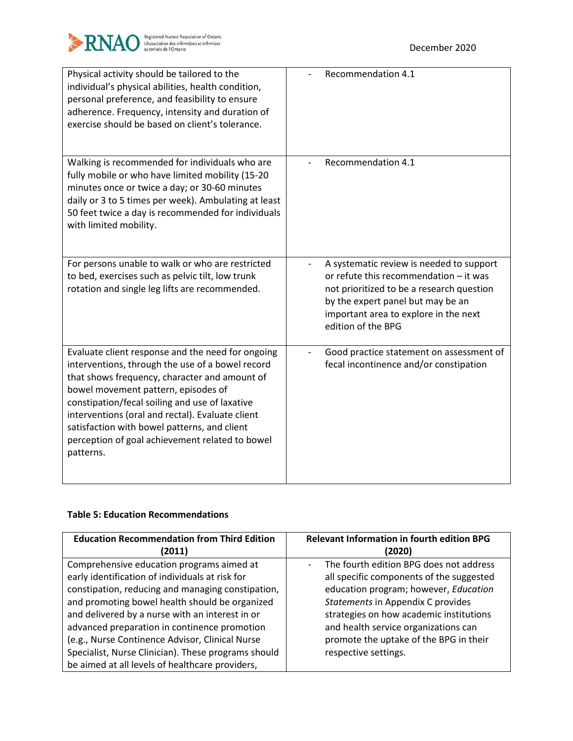

| Physical activity should be tailored to the<br>individual's physical abilities, health condition,<br>personal preference, and feasibility to ensure<br>adherence. Frequency, intensity and duration of<br>exercise should be based on client's tolerance.                                                                                                                                                           | Recommendation 4.1                                                                                                                                                                                                                  |
|---------------------------------------------------------------------------------------------------------------------------------------------------------------------------------------------------------------------------------------------------------------------------------------------------------------------------------------------------------------------------------------------------------------------|-------------------------------------------------------------------------------------------------------------------------------------------------------------------------------------------------------------------------------------|
| Walking is recommended for individuals who are<br>fully mobile or who have limited mobility (15-20<br>minutes once or twice a day; or 30-60 minutes<br>daily or 3 to 5 times per week). Ambulating at least<br>50 feet twice a day is recommended for individuals<br>with limited mobility.                                                                                                                         | Recommendation 4.1                                                                                                                                                                                                                  |
| For persons unable to walk or who are restricted<br>to bed, exercises such as pelvic tilt, low trunk<br>rotation and single leg lifts are recommended.                                                                                                                                                                                                                                                              | A systematic review is needed to support<br>or refute this recommendation - it was<br>not prioritized to be a research question<br>by the expert panel but may be an<br>important area to explore in the next<br>edition of the BPG |
| Evaluate client response and the need for ongoing<br>interventions, through the use of a bowel record<br>that shows frequency, character and amount of<br>bowel movement pattern, episodes of<br>constipation/fecal soiling and use of laxative<br>interventions (oral and rectal). Evaluate client<br>satisfaction with bowel patterns, and client<br>perception of goal achievement related to bowel<br>patterns. | Good practice statement on assessment of<br>fecal incontinence and/or constipation                                                                                                                                                  |

### **Table 5: Education Recommendations**

| <b>Education Recommendation from Third Edition</b>  | <b>Relevant Information in fourth edition BPG</b>                   |
|-----------------------------------------------------|---------------------------------------------------------------------|
| (2011)                                              | (2020)                                                              |
| Comprehensive education programs aimed at           | The fourth edition BPG does not address<br>$\overline{\phantom{0}}$ |
| early identification of individuals at risk for     | all specific components of the suggested                            |
| constipation, reducing and managing constipation,   | education program; however, Education                               |
| and promoting bowel health should be organized      | Statements in Appendix C provides                                   |
| and delivered by a nurse with an interest in or     | strategies on how academic institutions                             |
| advanced preparation in continence promotion        | and health service organizations can                                |
| (e.g., Nurse Continence Advisor, Clinical Nurse     | promote the uptake of the BPG in their                              |
| Specialist, Nurse Clinician). These programs should | respective settings.                                                |
| be aimed at all levels of healthcare providers,     |                                                                     |